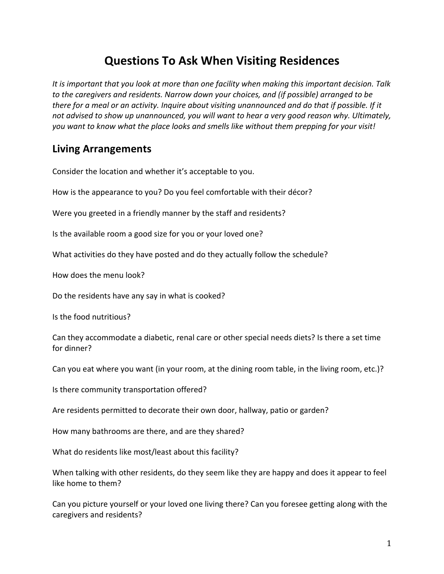# **Questions To Ask When Visiting Residences**

It is important that you look at more than one facility when making this important decision. Talk to the caregivers and residents. Narrow down your choices, and (if possible) arranged to be *there for a meal or an activity. Inquire about visiting unannounced and do that if possible. If it* not advised to show up unannounced, you will want to hear a very good reason why. Ultimately, you want to know what the place looks and smells like without them prepping for your visit!

#### **Living Arrangements**

Consider the location and whether it's acceptable to you.

How is the appearance to you? Do you feel comfortable with their décor?

Were you greeted in a friendly manner by the staff and residents?

Is the available room a good size for you or your loved one?

What activities do they have posted and do they actually follow the schedule?

How does the menu look?

Do the residents have any say in what is cooked?

Is the food nutritious?

Can they accommodate a diabetic, renal care or other special needs diets? Is there a set time for dinner?

Can you eat where you want (in your room, at the dining room table, in the living room, etc.)?

Is there community transportation offered?

Are residents permitted to decorate their own door, hallway, patio or garden?

How many bathrooms are there, and are they shared?

What do residents like most/least about this facility?

When talking with other residents, do they seem like they are happy and does it appear to feel like home to them?

Can you picture yourself or your loved one living there? Can you foresee getting along with the caregivers and residents?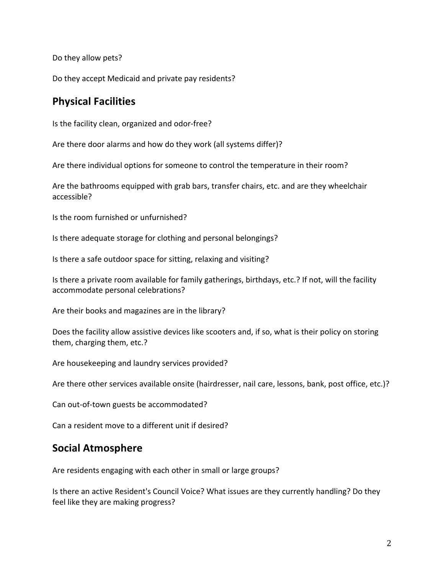Do they allow pets?

Do they accept Medicaid and private pay residents?

#### **Physical Facilities**

Is the facility clean, organized and odor-free?

Are there door alarms and how do they work (all systems differ)?

Are there individual options for someone to control the temperature in their room?

Are the bathrooms equipped with grab bars, transfer chairs, etc. and are they wheelchair accessible? 

Is the room furnished or unfurnished?

Is there adequate storage for clothing and personal belongings?

Is there a safe outdoor space for sitting, relaxing and visiting?

Is there a private room available for family gatherings, birthdays, etc.? If not, will the facility accommodate personal celebrations?

Are their books and magazines are in the library?

Does the facility allow assistive devices like scooters and, if so, what is their policy on storing them, charging them, etc.?

Are housekeeping and laundry services provided?

Are there other services available onsite (hairdresser, nail care, lessons, bank, post office, etc.)?

Can out-of-town guests be accommodated?

Can a resident move to a different unit if desired?

### **Social Atmosphere**

Are residents engaging with each other in small or large groups?

Is there an active Resident's Council Voice? What issues are they currently handling? Do they feel like they are making progress?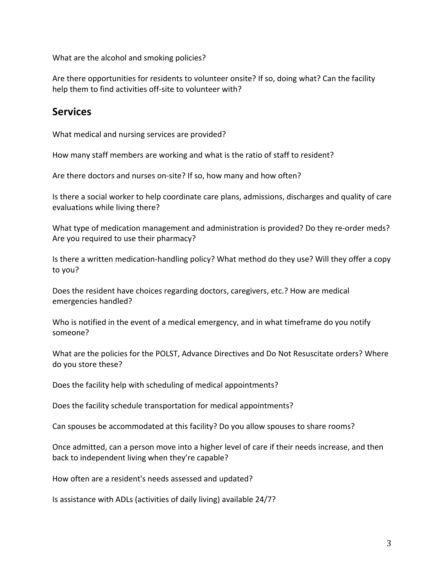What are the alcohol and smoking policies?

Are there opportunities for residents to volunteer onsite? If so, doing what? Can the facility help them to find activities off-site to volunteer with?

#### **Services**

What medical and nursing services are provided?

How many staff members are working and what is the ratio of staff to resident?

Are there doctors and nurses on-site? If so, how many and how often?

Is there a social worker to help coordinate care plans, admissions, discharges and quality of care evaluations while living there?

What type of medication management and administration is provided? Do they re-order meds? Are you required to use their pharmacy?

Is there a written medication-handling policy? What method do they use? Will they offer a copy to you?

Does the resident have choices regarding doctors, caregivers, etc.? How are medical emergencies handled?

Who is notified in the event of a medical emergency, and in what timeframe do you notify someone? 

What are the policies for the POLST, Advance Directives and Do Not Resuscitate orders? Where do you store these?

Does the facility help with scheduling of medical appointments?

Does the facility schedule transportation for medical appointments?

Can spouses be accommodated at this facility? Do you allow spouses to share rooms?

Once admitted, can a person move into a higher level of care if their needs increase, and then back to independent living when they're capable?

How often are a resident's needs assessed and updated?

Is assistance with ADLs (activities of daily living) available 24/7?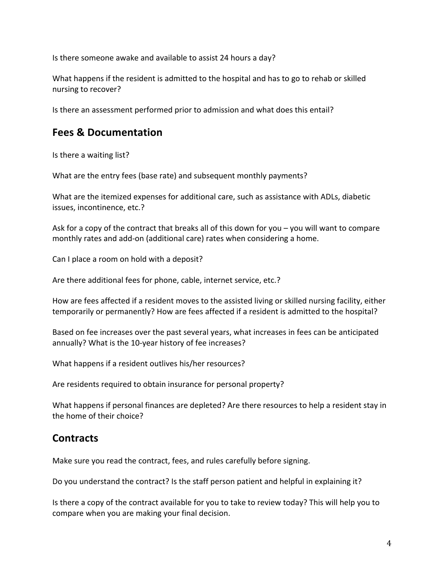Is there someone awake and available to assist 24 hours a day?

What happens if the resident is admitted to the hospital and has to go to rehab or skilled nursing to recover?

Is there an assessment performed prior to admission and what does this entail?

#### **Fees & Documentation**

Is there a waiting list?

What are the entry fees (base rate) and subsequent monthly payments?

What are the itemized expenses for additional care, such as assistance with ADLs, diabetic issues, incontinence, etc.?

Ask for a copy of the contract that breaks all of this down for you – you will want to compare monthly rates and add-on (additional care) rates when considering a home.

Can I place a room on hold with a deposit?

Are there additional fees for phone, cable, internet service, etc.?

How are fees affected if a resident moves to the assisted living or skilled nursing facility, either temporarily or permanently? How are fees affected if a resident is admitted to the hospital?

Based on fee increases over the past several years, what increases in fees can be anticipated annually? What is the 10-year history of fee increases?

What happens if a resident outlives his/her resources?

Are residents required to obtain insurance for personal property?

What happens if personal finances are depleted? Are there resources to help a resident stay in the home of their choice?

### **Contracts**

Make sure you read the contract, fees, and rules carefully before signing.

Do you understand the contract? Is the staff person patient and helpful in explaining it?

Is there a copy of the contract available for you to take to review today? This will help you to compare when you are making your final decision.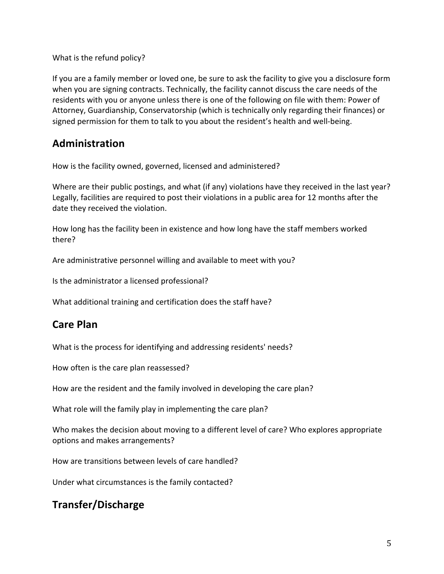What is the refund policy?

If you are a family member or loved one, be sure to ask the facility to give you a disclosure form when you are signing contracts. Technically, the facility cannot discuss the care needs of the residents with you or anyone unless there is one of the following on file with them: Power of Attorney, Guardianship, Conservatorship (which is technically only regarding their finances) or signed permission for them to talk to you about the resident's health and well-being.

### **Administration**

How is the facility owned, governed, licensed and administered?

Where are their public postings, and what (if any) violations have they received in the last year? Legally, facilities are required to post their violations in a public area for 12 months after the date they received the violation.

How long has the facility been in existence and how long have the staff members worked there? 

Are administrative personnel willing and available to meet with you?

Is the administrator a licensed professional?

What additional training and certification does the staff have?

### **Care Plan**

What is the process for identifying and addressing residents' needs?

How often is the care plan reassessed?

How are the resident and the family involved in developing the care plan?

What role will the family play in implementing the care plan?

Who makes the decision about moving to a different level of care? Who explores appropriate options and makes arrangements?

How are transitions between levels of care handled?

Under what circumstances is the family contacted?

### **Transfer/Discharge**